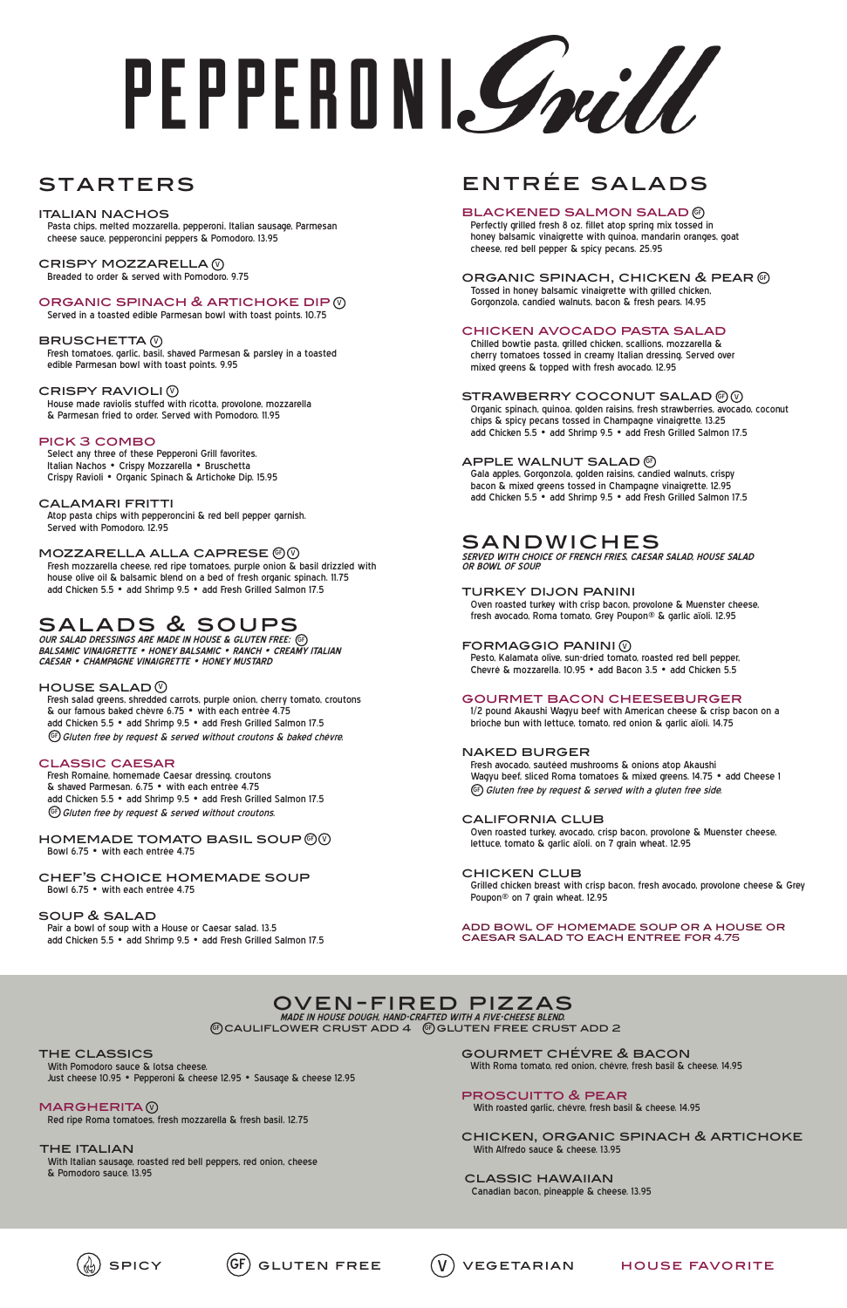# PEPPERDNI Smill

## **STARTERS**

# entrée salads

#### **BLACKENED SALMON SALAD** @

 Perfectly grilled fresh 8 oz. fillet atop spring mix tossed in honey balsamic vinaigrette with quinoa, mandarin oranges, goat cheese, red bell pepper & spicy pecans. 25.95

## ORGANIC SPINACH, CHICKEN & PEAR  $\mathcal G$

 Tossed in honey balsamic vinaigrette with grilled chicken, Gorgonzola, candied walnuts, bacon & fresh pears. 14.95

#### chicken avocado pasta salad

 Chilled bowtie pasta, grilled chicken, scallions, mozzarella & cherry tomatoes tossed in creamy Italian dressing. Served over mixed greens & topped with fresh avocado. 12.95

#### STRAWBERRY COCONUT SALAD  $\circledcirc\circ$

 Organic spinach, quinoa, golden raisins, fresh strawberries, avocado, coconut chips & spicy pecans tossed in Champagne vinaigrette. 13.25 add Chicken 5.5 • add Shrimp 9.5 • add Fresh Grilled Salmon 17.5

#### APPLE WALNUT SALAD  $\mathbb G$

 Fresh avocado, sautéed mushrooms & onions atop Akaushi Wagyu beef, sliced Roma tomatoes & mixed greens. 14.75 • add Cheese 1  $\left( \begin{smallmatrix} \mathbb{G} \end{smallmatrix} \right)$  Gluten free by request & served with a gluten free side.

 Gala apples, Gorgonzola, golden raisins, candied walnuts, crispy bacon & mixed greens tossed in Champagne vinaigrette. 12.95 add Chicken 5.5 • add Shrimp 9.5 • add Fresh Grilled Salmon 17.5

## sandwiches

**SERVED WITH CHOICE OF FRENCH FRIES, CAESAR SALAD, HOUSE SALAD OR BOWL OF SOUP.**

#### turkey dijon panini

CRISPY MOZZARELLA (V Breaded to order & served with Pomodoro. 9.75

## ORGANIC SPINACH & ARTICHOKE DIP **W**

 Oven roasted turkey with crisp bacon, provolone & Muenster cheese, fresh avocado, Roma tomato, Grey Poupon® & garlic aïoli. 12.95

#### FORMAGGIO PANINI (V

 Pesto, Kalamata olive, sun-dried tomato, roasted red bell pepper, Chevré & mozzarella. 10.95 • add Bacon 3.5 • add Chicken 5.5

#### gourmet bacon cheeseburger

PICK 3 COMBO<br>Select any three of these Pepperoni Grill favorites. Italian Nachos • Crispy Mozzarella • Bruschetta Crispy Ravioli • Organic Spinach & Artichoke Dip. 15.95

> 1/2 pound Akaushi Wagyu beef with American cheese & crisp bacon on a brioche bun with lettuce, tomato, red onion & garlic aïoli. 14.75

#### naked burger

 Fresh salad greens, shredded carrots, purple onion, cherry tomato, croutons & our famous baked chèvre 6.75 • with each entrèe 4.75 add Chicken 5.5 • add Shrimp 9.5 • add Fresh Grilled Salmon 17.5  $\mathbb{G}$  Gluten free by request & served without croutons & baked chévre.

#### california club

 Oven roasted turkey, avocado, crisp bacon, provolone & Muenster cheese, lettuce, tomato & garlic aïoli. on 7 grain wheat. 12.95

 Fresh Romaine, homemade Caesar dressing, croutons & shaved Parmesan. 6.75 • with each entrèe 4.75 add Chicken 5.5 • add Shrimp 9.5 • add Fresh Grilled Salmon 17.5 GF) Gluten free by request & served without croutons.

#### chicken club

 Grilled chicken breast with crisp bacon, fresh avocado, provolone cheese & Grey Poupon® on 7 grain wheat. 12.95

#### HOMEMADE TOMATO BASIL SOUP  $\circledcirc\circ$ Bowl 6.75 • with each entrée 4.75

add bowl of homemade soup or a house or caesar salad to each entree for 4.75

#### oven-fired pizzas **MADE IN HOUSE DOUGH, HAND-CRAFTED WITH A FIVE-CHEESE BLEND.**  $\circledast$ CAULIFLOWER CRUST ADD  $4$   $\circledast$ GLUTEN FREE CRUST ADD 2

THE CLASSICS<br>With Pomodoro sauce & lotsa cheese.

#### italian nachos

 Pasta chips, melted mozzarella, pepperoni, Italian sausage, Parmesan cheese sauce, pepperoncini peppers & Pomodoro. 13.95

**MARGHERITA** Red ripe Roma tomatoes, fresh mozzarella & fresh basil. 12.75

> THE ITALIAN<br>With Italian sausage, roasted red bell peppers, red onion, cheese & Pomodoro sauce. 13.95

Served in a toasted edible Parmesan bowl with toast points. 10.75

#### BRUSCHETTA $\,$   $\!\!\!\! \mathbb{V}$

 Fresh tomatoes, garlic, basil, shaved Parmesan & parsley in a toasted edible Parmesan bowl with toast points. 9.95

#### CRISPY RAVIOLI $\,\mathbb Q\,$

 House made raviolis stuffed with ricotta, provolone, mozzarella & Parmesan fried to order. Served with Pomodoro. 11.95

#### calamari fritti

 Atop pasta chips with pepperoncini & red bell pepper garnish. Served with Pomodoro. 12.95

#### <code>MOZZARELLA</code> ALLA CAPRESE  $@@$

 Fresh mozzarella cheese, red ripe tomatoes, purple onion & basil drizzled with house olive oil & balsamic blend on a bed of fresh organic spinach. 11.75 add Chicken 5.5 • add Shrimp 9.5 • add Fresh Grilled Salmon 17.5

## salads & soups

**OUR SALAD DRESSINGS ARE MADE IN HOUSE & GLUTEN FREE:** GF **BALSAMIC VINAIGRETTE • HONEY BALSAMIC • RANCH • CREAMY ITALIAN CAESAR • CHAMPAGNE VINAIGRETTE • HONEY MUSTARD**

#### HOUSE SALAD  $\mathbb {Q}$

#### classic caesar

#### chef's choice homemade soup Bowl 6.75 • with each entrée 4.75

#### soup & salad

 Pair a bowl of soup with a House or Caesar salad. 13.5 add Chicken 5.5 • add Shrimp 9.5 • add Fresh Grilled Salmon 17.5

Just cheese 10.95 • Pepperoni & cheese 12.95 • Sausage & cheese 12.95





gourmet chévre & bacon

With Roma tomato, red onion, chévre, fresh basil & cheese. 14.95

#### proscuitto & pear

With roasted garlic, chévre, fresh basil & cheese. 14.95

chicken, organic spinach & artichoke With Alfredo sauce & cheese. 13.95

classic hawaiian Canadian bacon, pineapple & cheese. 13.95